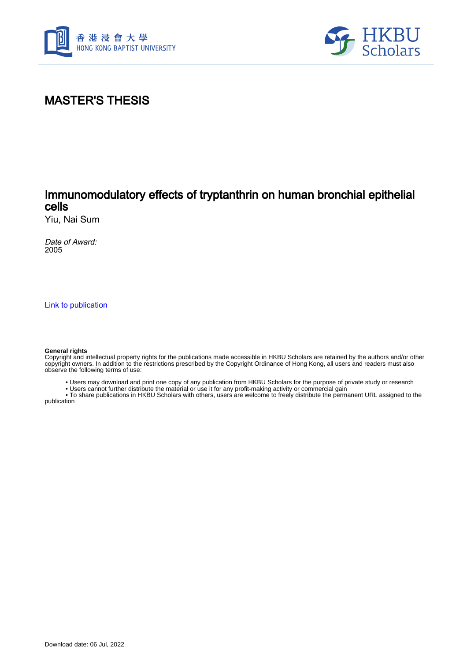



# MASTER'S THESIS

## Immunomodulatory effects of tryptanthrin on human bronchial epithelial cells

Yiu, Nai Sum

Date of Award: 2005

[Link to publication](https://scholars.hkbu.edu.hk/en/studentTheses/8920d455-4f78-41bd-ba8c-50cb76f6aab0)

#### **General rights**

Copyright and intellectual property rights for the publications made accessible in HKBU Scholars are retained by the authors and/or other copyright owners. In addition to the restrictions prescribed by the Copyright Ordinance of Hong Kong, all users and readers must also observe the following terms of use:

- Users may download and print one copy of any publication from HKBU Scholars for the purpose of private study or research
- Users cannot further distribute the material or use it for any profit-making activity or commercial gain

 • To share publications in HKBU Scholars with others, users are welcome to freely distribute the permanent URL assigned to the publication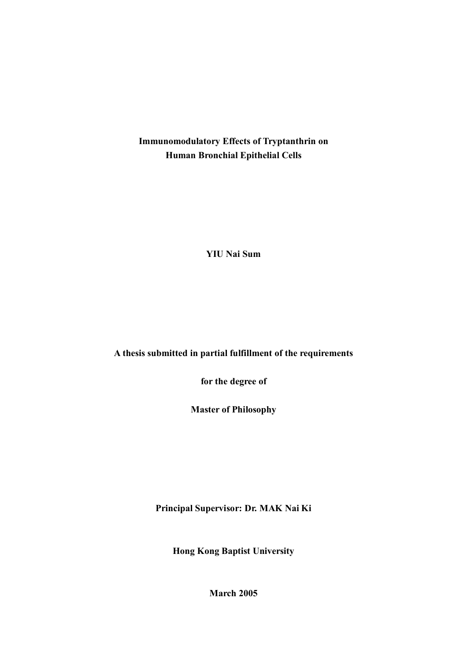**Immunomodulatory Effects of Tryptanthrin on Human Bronchial Epithelial Cells** 

**YIU Nai Sum** 

**A thesis submitted in partial fulfillment of the requirements** 

**for the degree of** 

**Master of Philosophy** 

**Principal Supervisor: Dr. MAK Nai Ki** 

**Hong Kong Baptist University** 

**March 2005**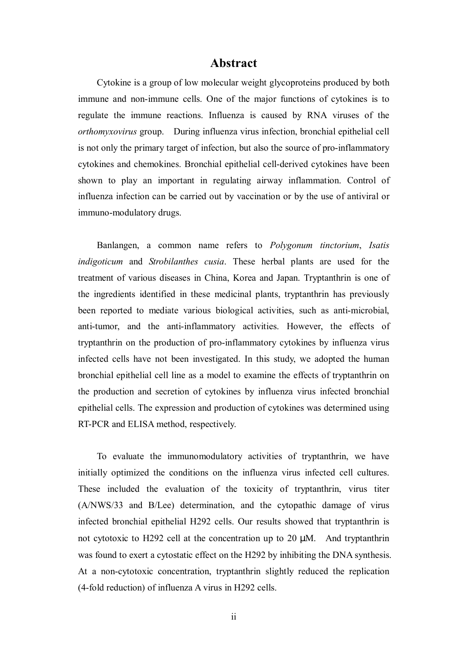### **Abstract**

Cytokine is a group of low molecular weight glycoproteins produced by both immune and non-immune cells. One of the major functions of cytokines is to regulate the immune reactions. Influenza is caused by RNA viruses of the *orthomyxovirus* group. During influenza virus infection, bronchial epithelial cell is not only the primary target of infection, but also the source of pro-inflammatory cytokines and chemokines. Bronchial epithelial cell-derived cytokines have been shown to play an important in regulating airway inflammation. Control of influenza infection can be carried out by vaccination or by the use of antiviral or immuno-modulatory drugs.

Banlangen, a common name refers to *Polygonum tinctorium*, *Isatis indigoticum* and *Strobilanthes cusia*. These herbal plants are used for the treatment of various diseases in China, Korea and Japan. Tryptanthrin is one of the ingredients identified in these medicinal plants, tryptanthrin has previously been reported to mediate various biological activities, such as anti-microbial, anti-tumor, and the anti-inflammatory activities. However, the effects of tryptanthrin on the production of pro-inflammatory cytokines by influenza virus infected cells have not been investigated. In this study, we adopted the human bronchial epithelial cell line as a model to examine the effects of tryptanthrin on the production and secretion of cytokines by influenza virus infected bronchial epithelial cells. The expression and production of cytokines was determined using RT-PCR and ELISA method, respectively.

To evaluate the immunomodulatory activities of tryptanthrin, we have initially optimized the conditions on the influenza virus infected cell cultures. These included the evaluation of the toxicity of tryptanthrin, virus titer (A/NWS/33 and B/Lee) determination, and the cytopathic damage of virus infected bronchial epithelial H292 cells. Our results showed that tryptanthrin is not cytotoxic to H292 cell at the concentration up to 20 µM. And tryptanthrin was found to exert a cytostatic effect on the H292 by inhibiting the DNA synthesis. At a non-cytotoxic concentration, tryptanthrin slightly reduced the replication (4-fold reduction) of influenza A virus in H292 cells.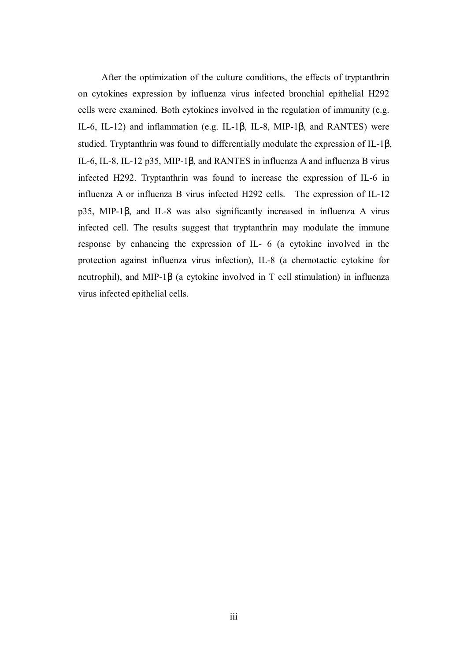After the optimization of the culture conditions, the effects of tryptanthrin on cytokines expression by influenza virus infected bronchial epithelial H292 cells were examined. Both cytokines involved in the regulation of immunity (e.g. IL-6, IL-12) and inflammation (e.g. IL-1β, IL-8, MIP-1β, and RANTES) were studied. Tryptanthrin was found to differentially modulate the expression of IL-1β, IL-6, IL-8, IL-12 p35, MIP-1β, and RANTES in influenza A and influenza B virus infected H292. Tryptanthrin was found to increase the expression of IL-6 in influenza A or influenza B virus infected H292 cells. The expression of IL-12 p35, MIP-1β, and IL-8 was also significantly increased in influenza A virus infected cell. The results suggest that tryptanthrin may modulate the immune response by enhancing the expression of IL- 6 (a cytokine involved in the protection against influenza virus infection), IL-8 (a chemotactic cytokine for neutrophil), and MIP-1β (a cytokine involved in T cell stimulation) in influenza virus infected epithelial cells.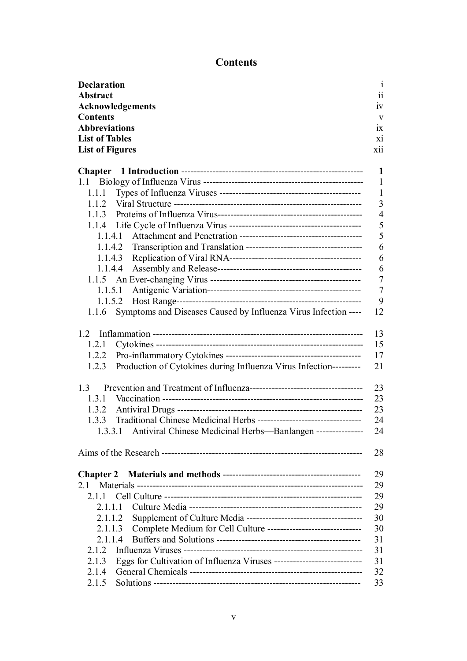# **Contents**

| <b>Declaration</b>                                                          | $\mathbf{i}$   |
|-----------------------------------------------------------------------------|----------------|
| <b>Abstract</b>                                                             | 11             |
| Acknowledgements                                                            | 1V             |
| <b>Contents</b>                                                             | V              |
| <b>Abbreviations</b>                                                        | 1X             |
| <b>List of Tables</b>                                                       | X1             |
| <b>List of Figures</b>                                                      | <b>X11</b>     |
|                                                                             |                |
|                                                                             | 1              |
|                                                                             | $\mathbf{1}$   |
| 1.1.1                                                                       | $\mathbf{1}$   |
|                                                                             | 3              |
|                                                                             | $\overline{4}$ |
|                                                                             | 5              |
| 1.1.4.1                                                                     | 5              |
|                                                                             | 6              |
|                                                                             | 6              |
|                                                                             | 6              |
|                                                                             | $\overline{7}$ |
|                                                                             | $\overline{7}$ |
| 1.1.5.2                                                                     | 9              |
| Symptoms and Diseases Caused by Influenza Virus Infection ----<br>1.1.6     | 12             |
|                                                                             |                |
| 1.2                                                                         | 13             |
| 1.2.1                                                                       | 15             |
|                                                                             | 17             |
| Production of Cytokines during Influenza Virus Infection---------<br>1.2.3  | 21             |
|                                                                             |                |
| 1.3                                                                         | 23             |
|                                                                             | 23             |
|                                                                             | 23             |
|                                                                             | 24             |
| 1.3.3.1 Antiviral Chinese Medicinal Herbs-Banlangen ---------------         | 24             |
|                                                                             |                |
|                                                                             | 28             |
|                                                                             |                |
|                                                                             | 29             |
| 2.1                                                                         | 29             |
|                                                                             | 29             |
| 2.1.1.1                                                                     | 29             |
| 2.1.1.2                                                                     | 30             |
| Complete Medium for Cell Culture -------------------------------<br>2.1.1.3 | 30             |
| 2.1.1.4                                                                     | 31             |
| 2.1.2                                                                       | 31             |
| 2.1.3                                                                       | 31             |
| 2.1.4                                                                       | 32             |
| 2.1.5                                                                       | 33             |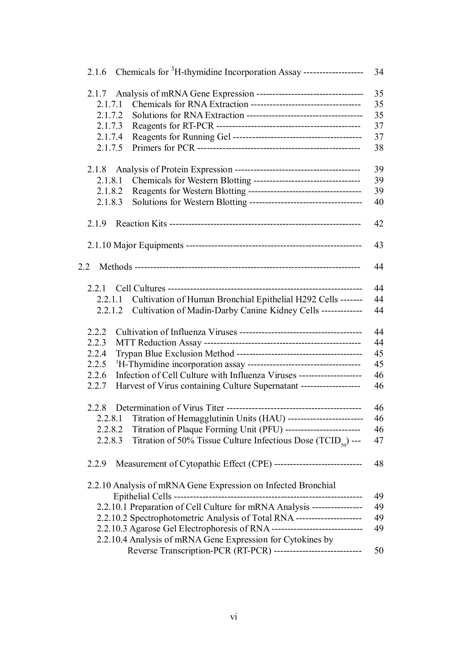| 2.1.6 Chemicals for <sup>3</sup> H-thymidine Incorporation Assay --------------------- | 34 |
|----------------------------------------------------------------------------------------|----|
| 2.1.7                                                                                  | 35 |
| 2.1.7.1                                                                                | 35 |
| 2.1.7.2                                                                                | 35 |
| 2.1.7.3                                                                                | 37 |
| 2.1.7.4                                                                                | 37 |
| 2.1.7.5                                                                                | 38 |
| 2.1.8                                                                                  | 39 |
| Chemicals for Western Blotting -----------------------------------<br>2.1.8.1          | 39 |
| 2.1.8.2                                                                                | 39 |
| 2.1.8.3                                                                                | 40 |
| 2.1.9                                                                                  | 42 |
|                                                                                        | 43 |
|                                                                                        |    |
| 2.2                                                                                    | 44 |
| 2.2.1                                                                                  | 44 |
| Cultivation of Human Bronchial Epithelial H292 Cells -------<br>2.2.1.1                | 44 |
| Cultivation of Madin-Darby Canine Kidney Cells -------------<br>2.2.1.2                | 44 |
| 2.2.2                                                                                  | 44 |
| 2.2.3                                                                                  | 44 |
| 2.2.4                                                                                  | 45 |
| 2.2.5                                                                                  | 45 |
| Infection of Cell Culture with Influenza Viruses ---------------------<br>2.2.6        | 46 |
| Harvest of Virus containing Culture Supernatant -------------------<br>2.2.7           | 46 |
| 2.2.8                                                                                  | 46 |
| 2.2.8.1 Titration of Hemagglutinin Units (HAU) ----------------------                  | 46 |
| Titration of Plaque Forming Unit (PFU) -------------------------<br>2.2.8.2            | 46 |
| 2.2.8.3                                                                                | 47 |
| Titration of 50% Tissue Culture Infectious Dose $(TCID_{\zeta_0})$ ---                 |    |
| 2.2.9                                                                                  | 48 |
| 2.2.10 Analysis of mRNA Gene Expression on Infected Bronchial                          | 49 |
| 2.2.10.1 Preparation of Cell Culture for mRNA Analysis ----------------                | 49 |
| 2.2.10.2 Spectrophotometric Analysis of Total RNA ---------------------                | 49 |
|                                                                                        | 49 |
| 2.2.10.4 Analysis of mRNA Gene Expression for Cytokines by                             |    |
| Reverse Transcription-PCR (RT-PCR) ----------------------------                        | 50 |
|                                                                                        |    |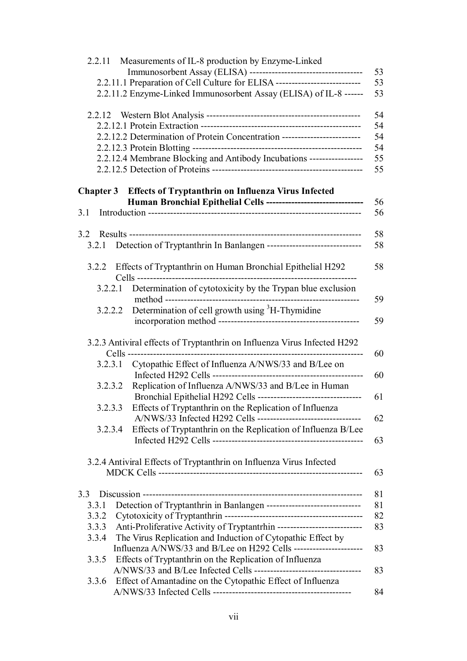| 2.2.11           | Measurements of IL-8 production by Enzyme-Linked                                                                    |
|------------------|---------------------------------------------------------------------------------------------------------------------|
|                  | 53                                                                                                                  |
|                  | 2.2.11.1 Preparation of Cell Culture for ELISA ---------------------------<br>53                                    |
|                  | 2.2.11.2 Enzyme-Linked Immunosorbent Assay (ELISA) of IL-8 ------<br>53                                             |
|                  | 54                                                                                                                  |
|                  | 54                                                                                                                  |
|                  | 2.2.12.2 Determination of Protein Concentration --------------------------<br>54                                    |
|                  | 54                                                                                                                  |
|                  | 2.2.12.4 Membrane Blocking and Antibody Incubations -----------------<br>55                                         |
|                  | 55                                                                                                                  |
| <b>Chapter 3</b> | <b>Effects of Tryptanthrin on Influenza Virus Infected</b>                                                          |
|                  | Human Bronchial Epithelial Cells -------------------------------<br>56                                              |
| 3.1              | 56                                                                                                                  |
|                  |                                                                                                                     |
| 3.2.1            | 58<br>Detection of Tryptanthrin In Banlangen ------------------------------<br>58                                   |
|                  |                                                                                                                     |
| 3.2.2            | Effects of Tryptanthrin on Human Bronchial Epithelial H292<br>58                                                    |
| 3.2.2.1          | Determination of cytotoxicity by the Trypan blue exclusion<br>59                                                    |
| 3.2.2.2          | Determination of cell growth using <sup>3</sup> H-Thymidine<br>59                                                   |
|                  |                                                                                                                     |
|                  | 3.2.3 Antiviral effects of Tryptanthrin on Influenza Virus Infected H292<br>Cells --------------------------------- |
|                  | 60<br>Cytopathic Effect of Influenza A/NWS/33 and B/Lee on                                                          |
| 3.2.3.1          |                                                                                                                     |
| 3.2.3.2          | 60<br>Replication of Influenza A/NWS/33 and B/Lee in Human                                                          |
|                  | 61                                                                                                                  |
| 3.2.3.3          | Effects of Tryptanthrin on the Replication of Influenza                                                             |
|                  | 62                                                                                                                  |
| 3.2.3.4          | Effects of Tryptanthrin on the Replication of Influenza B/Lee                                                       |
|                  | 63                                                                                                                  |
|                  |                                                                                                                     |
|                  | 3.2.4 Antiviral Effects of Tryptanthrin on Influenza Virus Infected<br>63                                           |
|                  |                                                                                                                     |
| 3.3              | 81                                                                                                                  |
| 3.3.1            | Detection of Tryptanthrin in Banlangen -------------------------------<br>81                                        |
| 3.3.2            | 82                                                                                                                  |
| 3.3.3            | Anti-Proliferative Activity of Tryptantrhin ----------------------------<br>83                                      |
| 3.3.4            | The Virus Replication and Induction of Cytopathic Effect by                                                         |
|                  | Influenza A/NWS/33 and B/Lee on H292 Cells ------------------------<br>83                                           |
| 3.3.5            | Effects of Tryptanthrin on the Replication of Influenza                                                             |
|                  | 83                                                                                                                  |
| 3.3.6            | Effect of Amantadine on the Cytopathic Effect of Influenza<br>84                                                    |
|                  |                                                                                                                     |